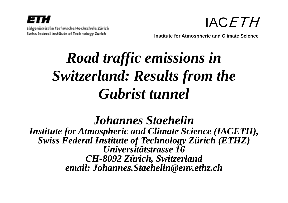



**Institute for Atmospheric and Climate Science**

# *R d <sup>t</sup> ffi i i i Roa traffic em iss ions in Switzerland: Results from the Gubrist tunnel*

*Johannes Johannes Staehelin*

*Institute for Atmospheric and Climate Science (IACETH), Swiss Federal Institute of Technology Zürich (ETHZ) U i ität t 16 Universitätstrasse CH-8092 Zürich, Switzerland email: Johannes.Staehelin@env.ethz.ch Johannes.Staehelin@env.ethz.ch*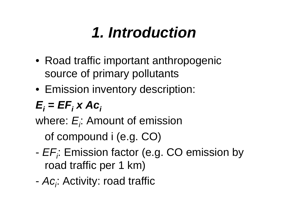# *1 Introduction 1.*

- Road traffic important anthropogenic source of primary pollutants
- Emission inventory description:

$$
E_i = EF_i \times Ac_i
$$

where:  $E$  ; Amount of emission

of compound i (e.g. CO)

- - *EFi*: Emission factor (e.g. CO emission by road traffic per 1 km)
- -*Aci*: Activity: road traffic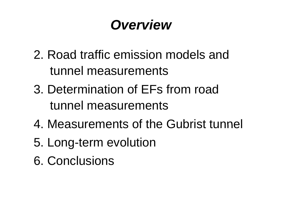# *Overview*

- 2. Road traffic emission models and tunnel measurements
- 3. Determination of EFs from road tunnel measurements
- 4. Measurements of the Gubrist tunnel
- 5. Long-term evolution
- 6. Conclusions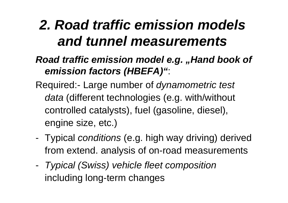# *2. Road traffic emission models and tunnel measurements*

### *Road traffic emission model e.g. "Hand book of emission factors (HBEFA)"*:

Required:- Large number of *dynamometric test data* (different technologies (e.g. with/without controlled catalysts), fuel (gasoline, diesel), engine size, etc.)

- - Typical *conditions* (e.g. high way driving) derived from extend. analysis of on-road measurements
- - *Typical (Swiss) vehicle fleet composition* including long-term changes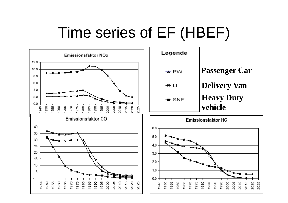# Time series of EF (HBEF)

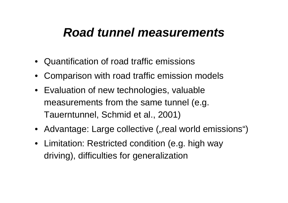## *Road tunnel measurements*

- Quantification of road traffic emissions
- Comparison with road traffic emission models
- Evaluation of new technologies, valuable measurements from the same tunnel (e.g. Tauerntunnel, Schmid et al., 2001)
- Advantage: Large collective ("real world emissions")
- $\bullet\;$  Limitation: Restricted condition (e.g. high way driving), difficulties for generalization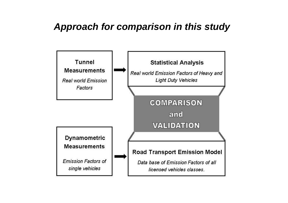#### *Approach for comparison in this study*

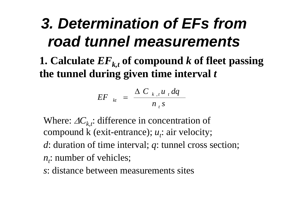# *3. Determination of EFs from road tunnel measurements*

**1. Calculate**  *E*  $F_{k,t}$  of compound  $k$  of fleet passing **the tunnel durin g given time interval**  *t*

$$
EF_{kt} = \frac{\Delta C_{k,t} u_t dq}{n_t s}
$$

Where:  $\Delta C_{k,t}$ : difference in concentration of compound k (exit-entrance); *u <sup>t</sup>*: air velocity;

- $d$ : duration of time interval;  $q$ : tunnel cross section;
- *n <sup>t</sup>*: number of vehicles;
- *s*: distance between measurements sites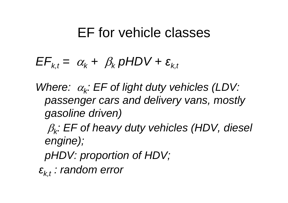## EF for vehicle classes

$$
EF_{k,t} = \alpha_k + \beta_k \, pHDV + \varepsilon_{k,t}
$$

- *Where:* <sup>α</sup>*k: EF of light duty vehicles (LDV: passenger cars and delivery vans mostly vans, gasoline driven)*
	- $\beta_k$ : EF of heavy duty vehicles (HDV, diesel *engine);*
	- *pHDV: proportion of HDV;*
- *ε : random error k,t*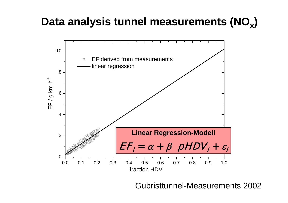## **Data analysis tunnel measurements (NO x)**



Gubristtunnel-Measurements 2002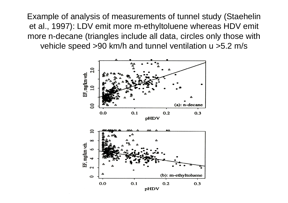Example of analysis of measurements of tunnel study (Staehelin et al., 1997): LDV emit more m-ethyltoluene whereas HDV emit more n-decane (triangles include all data, circles only those with vehicle speed >90 km/h and tunnel ventilation u >5.2 m/s

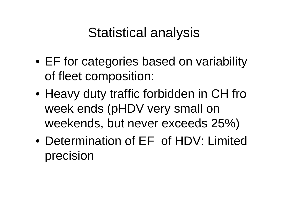## Statistical analysis

- EF for categories based on variability of fleet composition:
- Heavy duty traffic forbidden in CH fro week ends (pHDV very small on weekends, but never exceeds 25%)
- Determination of EF of HDV: Limited precision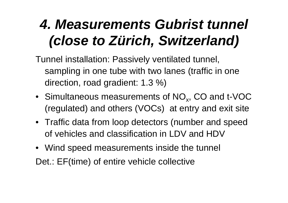# *4. Measurements Gubrist tunnel (close to Zürich, Switzerland)*

Tunnel installation: Passively ventilated tunnel, sampling in one tube with two lanes (traffic in one direction, road gradient: 1.3 %)

- Simultaneous measurements of  $\mathrm{NO_{x}}$ , CO and t-VOC (regulated) and others (VOCs) at entry and exit site
- Traffic data from loop detectors (number and speed of vehicles and classification in LDV and HDV
- Wind speed measurements inside the tunnel

Det.: EF(time) of entire vehicle collective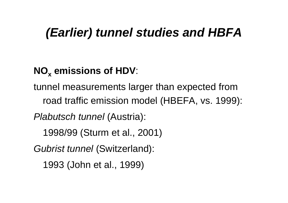## *(Earlier) tunnel studies and HBFA HBFA*

## **NO x emissions of HDV**:

tunnel measurements larger than expected from road traffic emission model (HBEFA, vs. 1999): *Plabutsch tunnel* (Austria): 1998/99 (Sturm et al., 2001)

*Gubrist tunnel* (Switzerland):

1993 (John et al., 1999)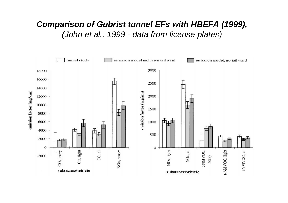#### *Comparison of Gubrist tunnel EFs with HBEFA (1999), (J h t l 1999 o hn e t a l., d t f li l t ) da ta from license p la tes)*

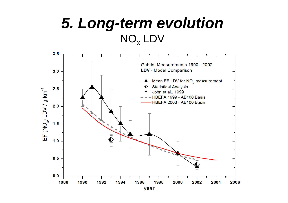## *5. Long-term evolution*   $\mathsf{NO}_\mathsf{x}$  LDV

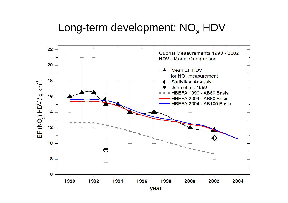## Long-term development:  $\mathsf{NO}_{\mathsf{x}}$  HDV

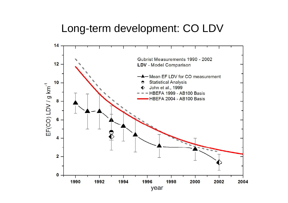#### Long-term development: CO LDV

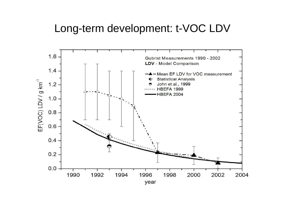### Long-term development: t-VOC LDV

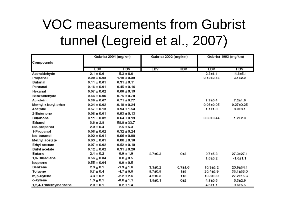# VOC measurements from Gubrist tunnel (Legreid et al., 2007)

|                        | Gubrist 2004 (mg/km) |                  | Gubrist 2002 (mg/km) |             | Gubrist 1993 (mg/km) |                 |
|------------------------|----------------------|------------------|----------------------|-------------|----------------------|-----------------|
| Compounds              |                      |                  |                      |             |                      |                 |
|                        | LDV                  | <b>HDV</b>       | LDV                  | <b>HDV</b>  | <b>LDV</b>           | <b>HDV</b>      |
| Acetaldehyde           | $2.1 \pm 0.6$        | $5.3 \pm 6.6$    |                      |             | $2.3 + 1.1$          | $14.6 + 5.1$    |
| Propanal               | $0.08 \pm 0.03$      | $1.10 \pm 0.30$  |                      |             | $0.18 + 0.45$        | $3.1 \pm 2.0$   |
| Butanal                | $0.11 \pm 0.01$      | $0.31 \pm 0.11$  |                      |             |                      |                 |
| Pentanal               | $0.16 \pm 0.01$      | $0.45 \pm 0.16$  |                      |             |                      |                 |
| Hexanal                | $0.07 \pm 0.02$      | $0.60 \pm 0.19$  |                      |             |                      |                 |
| Benzaldehyde           | $0.64 \pm 0.06$      | $0.75 \pm 0.70$  |                      |             |                      |                 |
| Acrolein               | $0.36 \pm 0.07$      | $0.71 \pm 0.77$  |                      |             | $1.3 + 0.4$          | $7.2 + 1.6$     |
| Methyl-t-butyl-ether   | $0.24 \pm 0.02$      | $-0.18 \pm 0.24$ |                      |             | $0.06 + 0.05$        | $0.27 \pm 0.25$ |
| Acetone                | $0.57 \pm 0.13$      | $3.94 \pm 1.54$  |                      |             | $1.1 + 1.8$          | $8.0 + 8.1$     |
| 2-Butenone             | $0.08 \pm 0.01$      | $0.93 \pm 0.13$  |                      |             |                      |                 |
| Butanone               | $0.11 \pm 0.02$      | $0.64 \pm 0.19$  |                      |             | $0.08 + 0.44$        | $1.2 \pm 2.0$   |
| Ethanol                | $6.6 \pm 2.8$        | $58.8 \pm 33.7$  |                      |             |                      |                 |
| Iso-propanol           | $2.0 \pm 0.4$        | $2.5 \pm 5.3$    |                      |             |                      |                 |
| 1-Propanol             | $0.08 \pm 0.02$      | $0.32 \pm 0.24$  |                      |             |                      |                 |
| Iso-butanol            | $0.02 \pm 0.01$      | $0.06 \pm 0.08$  |                      |             |                      |                 |
| Methyl acetate         | $0.03 \pm 0.01$      | $0.08 \pm 0.10$  |                      |             |                      |                 |
| Ethyl acetate          | $0.07 \pm 0.02$      | $0.52 \pm 0.18$  |                      |             |                      |                 |
| <b>Butyl acetate</b>   | $0.12 \pm 0.02$      | $0.31 \pm 0.20$  |                      |             |                      |                 |
| Butane                 | $2.4 \pm 0.2$        | $-0.9 \pm 1.9$   | $2.7 + 0.3$          | 0±3         | $9.7 + 5.3$          | $27.3 + 27.1$   |
| 1,3-Butadiene          | $0.56 \pm 0.04$      | $0.8 \pm 0.5$    |                      |             | $1.6 + 0.2$          | $-1.6 + 1.1$    |
| Isoprene               | $0.55 \pm 0.04$      | $0.0 \pm 0.5$    |                      |             |                      |                 |
| Benzene                | $2.3 \pm 0.1$        | $-1.3 \pm 1.8$   | $3.3 + 0.2$          | $0.7 + 1.6$ | $10.3 + 6.2$         | 20.9±34.1       |
| Toluene                | $5.7 \pm 0.4$        | $-4.7 \pm 5.0$   | 8.7±0.5              | 1±5         | 20.4±6.9             | 33.1±35.0       |
| m, p-X ylene           | $3.3 \pm 0.2$        | $-2.2 \pm 2.6$   | $4.2 + 0.3$          | 1±3         | 10.8±3.0             | 27.2±15.3       |
| o-Xylene               | $1.3 \pm 0.1$        | $-0.8 \pm 1.1$   | $1.9 + 0.1$          | 0±2         | $4.8 + 0.6$          | $6.3{\pm}2.9$   |
| 1,2,4-Trimethylbenzene | $2.0 \pm 0.1$        | $0.2 \pm 1.4$    |                      |             | $4.6 + 1.1$          | $9.6 + 5.5$     |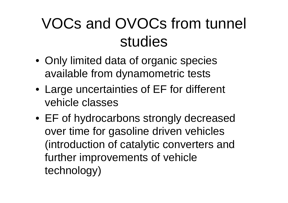# VOCs and OVOCs from tunnel studies

- Only limited data of organic species available from d ynamometric tests
- Large uncertainties of EF for different vehicle classes
- EF of hydrocarbons strongly decreased over time for gasoline driven vehicles (introduction of catalytic converters and further improvements of vehicle technology)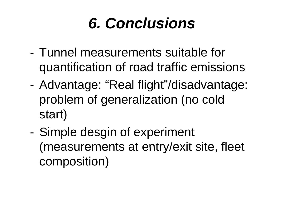# *6. Conclusions*

- Tunnel measurements suitable for quantification of road traffic emissions
- Advantage: "Real flight"/disadvantage: problem of generalization (no cold start)
- - Simple desgin of experiment (measurements at entry/exit site, fleet composition)